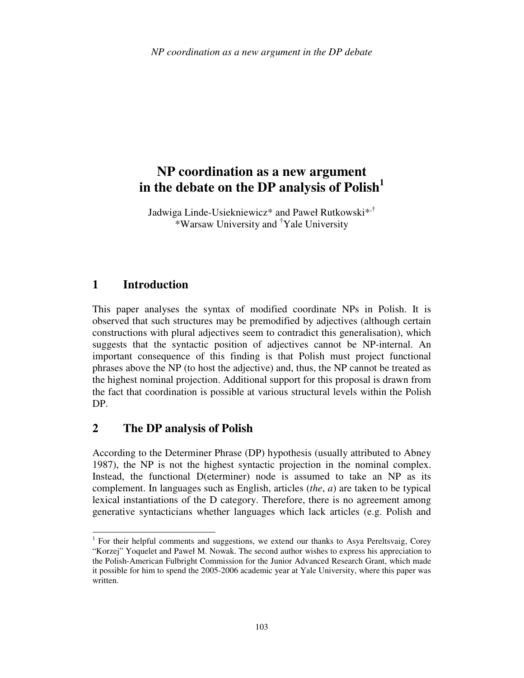# **NP coordination as a new argument in the debate on the DP analysis of Polish<sup>1</sup>**

Jadwiga Linde-Usiekniewicz\* and Paweł Rutkowski<sup>\*,†</sup> \*Warsaw University and †Yale University

# **1 Introduction**

l

This paper analyses the syntax of modified coordinate NPs in Polish. It is observed that such structures may be premodified by adjectives (although certain constructions with plural adjectives seem to contradict this generalisation), which suggests that the syntactic position of adjectives cannot be NP-internal. An important consequence of this finding is that Polish must project functional phrases above the NP (to host the adjective) and, thus, the NP cannot be treated as the highest nominal projection. Additional support for this proposal is drawn from the fact that coordination is possible at various structural levels within the Polish DP.

# **2 The DP analysis of Polish**

According to the Determiner Phrase (DP) hypothesis (usually attributed to Abney 1987), the NP is not the highest syntactic projection in the nominal complex. Instead, the functional D(eterminer) node is assumed to take an NP as its complement. In languages such as English, articles (*the*, *a*) are taken to be typical lexical instantiations of the D category. Therefore, there is no agreement among generative syntacticians whether languages which lack articles (e.g. Polish and

<sup>&</sup>lt;sup>1</sup> For their helpful comments and suggestions, we extend our thanks to Asya Pereltsvaig, Corey "Korzej" Yoquelet and Paweł M. Nowak. The second author wishes to express his appreciation to the Polish-American Fulbright Commission for the Junior Advanced Research Grant, which made it possible for him to spend the 2005-2006 academic year at Yale University, where this paper was written.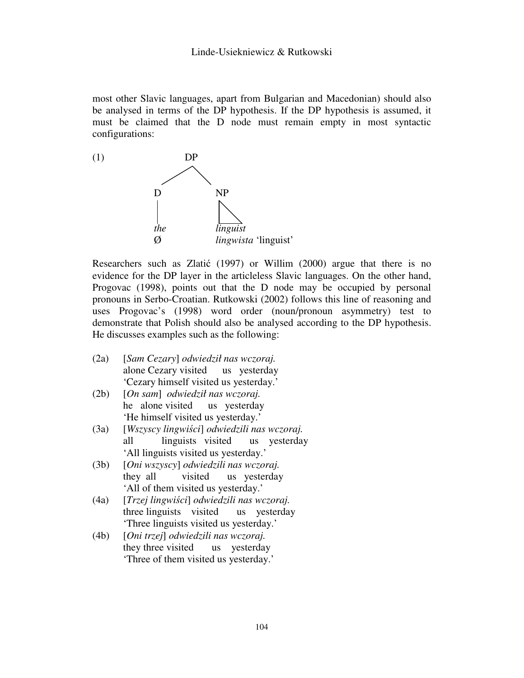most other Slavic languages, apart from Bulgarian and Macedonian) should also be analysed in terms of the DP hypothesis. If the DP hypothesis is assumed, it must be claimed that the D node must remain empty in most syntactic configurations:



Researchers such as Zlatić (1997) or Willim (2000) argue that there is no evidence for the DP layer in the articleless Slavic languages. On the other hand, Progovac (1998), points out that the D node may be occupied by personal pronouns in Serbo-Croatian. Rutkowski (2002) follows this line of reasoning and uses Progovac's (1998) word order (noun/pronoun asymmetry) test to demonstrate that Polish should also be analysed according to the DP hypothesis. He discusses examples such as the following:

- (2a) [*Sam Cezary*] *odwiedził nas wczoraj.* alone Cezary visited us yesterday 'Cezary himself visited us yesterday.'
- (2b) [*On sam*] *odwiedził nas wczoraj.* he alone visited us yesterday 'He himself visited us yesterday.'
- (3a) [*Wszyscy lingwi*ś*ci*] *odwiedzili nas wczoraj.* all linguists visited us yesterday 'All linguists visited us yesterday.'
- (3b) [*Oni wszyscy*] *odwiedzili nas wczoraj.* they all visited us yesterday 'All of them visited us yesterday.'
- (4a) [*Trzej lingwi*ś*ci*] *odwiedzili nas wczoraj.* three linguists visited us yesterday 'Three linguists visited us yesterday.'
- (4b) [*Oni trzej*] *odwiedzili nas wczoraj.* they three visited us yesterday 'Three of them visited us yesterday.'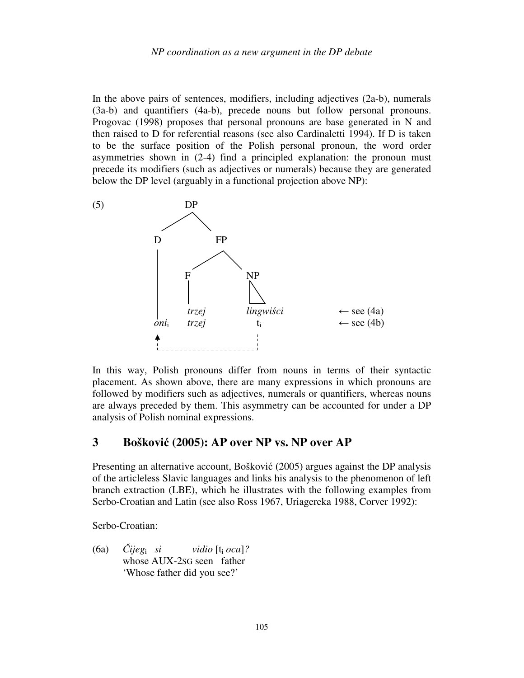In the above pairs of sentences, modifiers, including adjectives (2a-b), numerals (3a-b) and quantifiers (4a-b), precede nouns but follow personal pronouns. Progovac (1998) proposes that personal pronouns are base generated in N and then raised to D for referential reasons (see also Cardinaletti 1994). If D is taken to be the surface position of the Polish personal pronoun, the word order asymmetries shown in (2-4) find a principled explanation: the pronoun must precede its modifiers (such as adjectives or numerals) because they are generated below the DP level (arguably in a functional projection above NP):



In this way, Polish pronouns differ from nouns in terms of their syntactic placement. As shown above, there are many expressions in which pronouns are followed by modifiers such as adjectives, numerals or quantifiers, whereas nouns are always preceded by them. This asymmetry can be accounted for under a DP analysis of Polish nominal expressions.

### **3 Boškovi**ć **(2005): AP over NP vs. NP over AP**

Presenting an alternative account, Bošković (2005) argues against the DP analysis of the articleless Slavic languages and links his analysis to the phenomenon of left branch extraction (LBE), which he illustrates with the following examples from Serbo-Croatian and Latin (see also Ross 1967, Uriagereka 1988, Corver 1992):

Serbo-Croatian:

(6a) Č*ijeg*<sup>i</sup> *si vidio* [t<sup>i</sup> *oca*]*?* whose AUX-2SG seen father 'Whose father did you see?'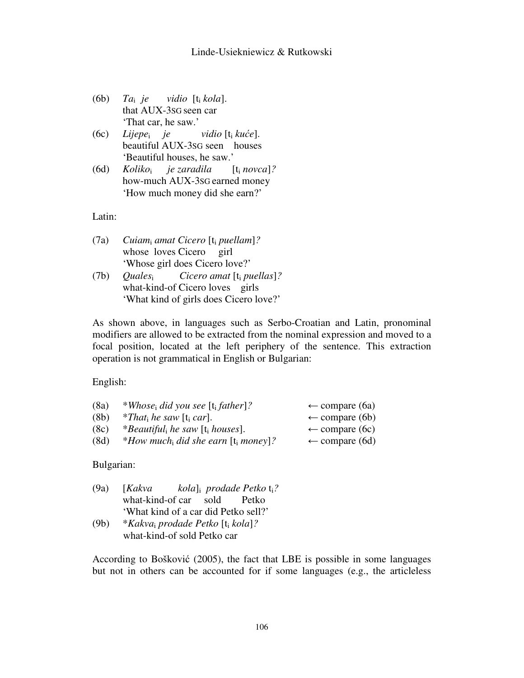- (6b) *Ta*i *je vidio* [t<sup>i</sup> *kola*]. that AUX-3SG seen car 'That car, he saw.'
- (6c) *Lijepe*<sup>i</sup> *je vidio* [t<sup>i</sup> *ku*ć*e*]. beautiful AUX-3SG seen houses 'Beautiful houses, he saw.'
- (6d) *Koliko*<sup>i</sup> *je zaradila* [t<sup>i</sup> *novca*]*?*  how-much AUX-3SG earned money 'How much money did she earn?'

Latin:

- (7a) *Cuiam*<sup>i</sup> *amat Cicero* [t<sup>i</sup> *puellam*]*?* whose loves Cicero girl 'Whose girl does Cicero love?'
- (7b) *Quales*<sup>i</sup> *Cicero amat* [t<sup>i</sup> *puellas*]*?* what-kind-of Cicero loves girls 'What kind of girls does Cicero love?'

As shown above, in languages such as Serbo-Croatian and Latin, pronominal modifiers are allowed to be extracted from the nominal expression and moved to a focal position, located at the left periphery of the sentence. This extraction operation is not grammatical in English or Bulgarian:

English:

| (8a) | *Whose <sub>i</sub> did you see [t <sub>i</sub> father]?      | $\leftarrow$ compare (6a) |
|------|---------------------------------------------------------------|---------------------------|
| (8b) | <i>*That<sub>i</sub> he saw</i> [t <sub>i</sub> <i>car</i> ]. | $\leftarrow$ compare (6b) |
| (8c) | *Beautiful, he saw [t <sub>i</sub> houses].                   | $\leftarrow$ compare (6c) |
| (8d) | *How much, did she earn $[t_i \text{ money}]$ ?               | $\leftarrow$ compare (6d) |
|      |                                                               |                           |

Bulgarian:

- (9a) [*Kakva prodade Petko* ti*?* what-kind-of car sold Petko 'What kind of a car did Petko sell?'
- (9b) \**Kakva*<sup>i</sup> *prodade Petko* [t<sup>i</sup> *kola*]*?* what-kind-of sold Petko car

According to Bošković (2005), the fact that LBE is possible in some languages but not in others can be accounted for if some languages (e.g., the articleless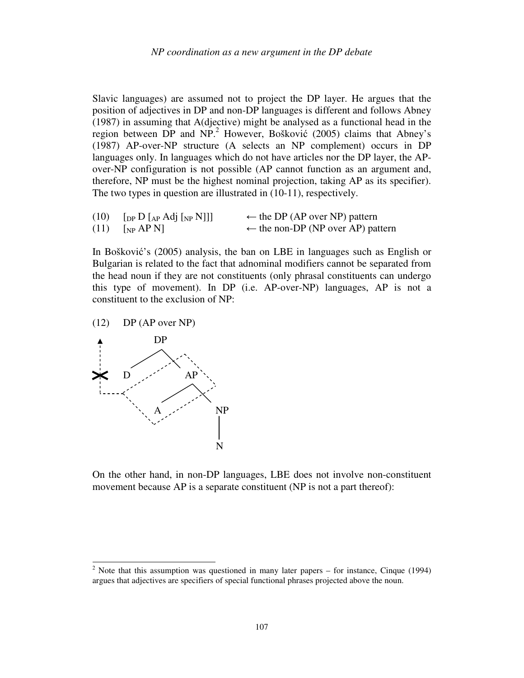Slavic languages) are assumed not to project the DP layer. He argues that the position of adjectives in DP and non-DP languages is different and follows Abney (1987) in assuming that A(djective) might be analysed as a functional head in the region between DP and NP.<sup>2</sup> However, Bošković (2005) claims that Abney's (1987) AP-over-NP structure (A selects an NP complement) occurs in DP languages only. In languages which do not have articles nor the DP layer, the APover-NP configuration is not possible (AP cannot function as an argument and, therefore, NP must be the highest nominal projection, taking AP as its specifier). The two types in question are illustrated in (10-11), respectively.

| $(10)$ [DP D [AP Adj [NP N]]]            | $\leftarrow$ the DP (AP over NP) pattern     |
|------------------------------------------|----------------------------------------------|
| $(11)$ [ <sub>NP</sub> AP <sub>N</sub> ] | $\leftarrow$ the non-DP (NP over AP) pattern |

In Bošković's (2005) analysis, the ban on LBE in languages such as English or Bulgarian is related to the fact that adnominal modifiers cannot be separated from the head noun if they are not constituents (only phrasal constituents can undergo this type of movement). In DP (i.e. AP-over-NP) languages, AP is not a constituent to the exclusion of NP:

(12) DP (AP over NP)



On the other hand, in non-DP languages, LBE does not involve non-constituent movement because AP is a separate constituent (NP is not a part thereof):

<sup>&</sup>lt;sup>2</sup> Note that this assumption was questioned in many later papers – for instance, Cinque (1994) argues that adjectives are specifiers of special functional phrases projected above the noun.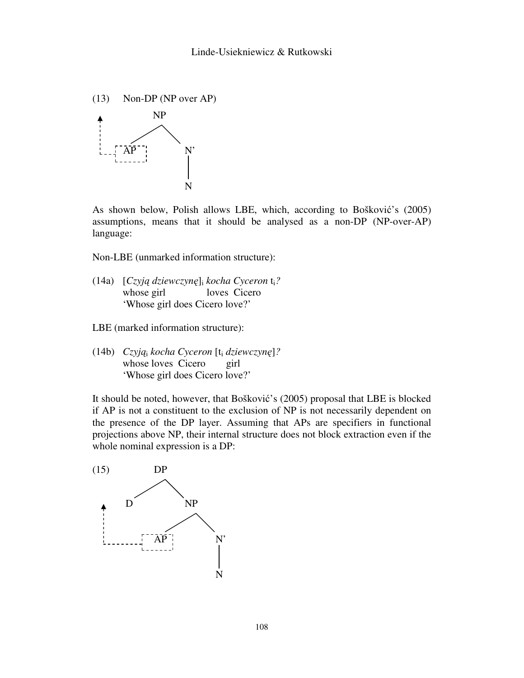

As shown below, Polish allows LBE, which, according to Bošković's (2005) assumptions, means that it should be analysed as a non-DP (NP-over-AP) language:

Non-LBE (unmarked information structure):

- (14a) [*Czyj*ą *dziewczyn*ę]<sup>i</sup> *kocha Cyceron* ti*?* whose girl loves Cicero 'Whose girl does Cicero love?'
- LBE (marked information structure):
- (14b) *Czyj*ą<sup>i</sup> *kocha Cyceron* [t<sup>i</sup> *dziewczyn*ę]*?* whose loves Cicero girl 'Whose girl does Cicero love?'

It should be noted, however, that Bošković's (2005) proposal that LBE is blocked if AP is not a constituent to the exclusion of NP is not necessarily dependent on the presence of the DP layer. Assuming that APs are specifiers in functional projections above NP, their internal structure does not block extraction even if the whole nominal expression is a DP:

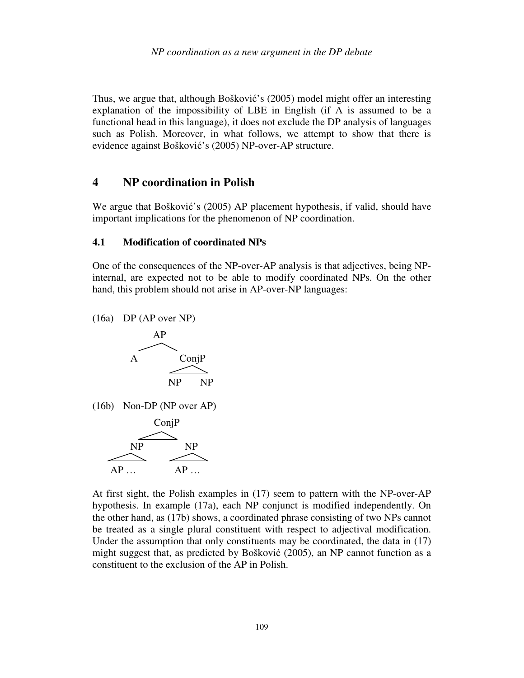Thus, we argue that, although Bošković's (2005) model might offer an interesting explanation of the impossibility of LBE in English (if A is assumed to be a functional head in this language), it does not exclude the DP analysis of languages such as Polish. Moreover, in what follows, we attempt to show that there is evidence against Bošković's (2005) NP-over-AP structure.

### **4 NP coordination in Polish**

We argue that Bošković's (2005) AP placement hypothesis, if valid, should have important implications for the phenomenon of NP coordination.

#### **4.1 Modification of coordinated NPs**

One of the consequences of the NP-over-AP analysis is that adjectives, being NPinternal, are expected not to be able to modify coordinated NPs. On the other hand, this problem should not arise in AP-over-NP languages:

(16a) DP (AP over NP)



(16b) Non-DP (NP over AP)



At first sight, the Polish examples in (17) seem to pattern with the NP-over-AP hypothesis. In example (17a), each NP conjunct is modified independently. On the other hand, as (17b) shows, a coordinated phrase consisting of two NPs cannot be treated as a single plural constituent with respect to adjectival modification. Under the assumption that only constituents may be coordinated, the data in (17) might suggest that, as predicted by Bošković (2005), an NP cannot function as a constituent to the exclusion of the AP in Polish.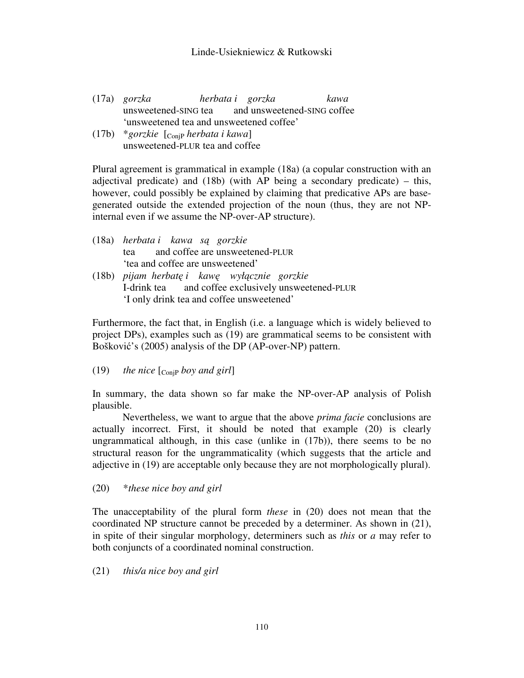#### Linde-Usiekniewicz & Rutkowski

- (17a) *gorzka herbata i gorzka kawa* unsweetened-SING tea and unsweetened-SING coffee 'unsweetened tea and unsweetened coffee'
- (17b) \**gorzkie* [ConjP *herbata i kawa*] unsweetened-PLUR tea and coffee

Plural agreement is grammatical in example (18a) (a copular construction with an adjectival predicate) and (18b) (with AP being a secondary predicate) – this, however, could possibly be explained by claiming that predicative APs are basegenerated outside the extended projection of the noun (thus, they are not NPinternal even if we assume the NP-over-AP structure).

- (18a) *herbata i kawa s*ą *gorzkie* tea and coffee are unsweetened-PLUR 'tea and coffee are unsweetened'
- (18b) *pijam herbat*ę *i kaw*ę *wył*ą*cznie gorzkie* I-drink tea and coffee exclusively unsweetened-PLUR 'I only drink tea and coffee unsweetened'

Furthermore, the fact that, in English (i.e. a language which is widely believed to project DPs), examples such as (19) are grammatical seems to be consistent with Bošković's (2005) analysis of the DP (AP-over-NP) pattern.

 $(19)$  *the nice*  $\lbrack \mathcal{C}_{\text{onip}}$  *boy and girl* 

In summary, the data shown so far make the NP-over-AP analysis of Polish plausible.

Nevertheless, we want to argue that the above *prima facie* conclusions are actually incorrect. First, it should be noted that example (20) is clearly ungrammatical although, in this case (unlike in (17b)), there seems to be no structural reason for the ungrammaticality (which suggests that the article and adjective in (19) are acceptable only because they are not morphologically plural).

(20) \**these nice boy and girl*

The unacceptability of the plural form *these* in (20) does not mean that the coordinated NP structure cannot be preceded by a determiner. As shown in (21), in spite of their singular morphology, determiners such as *this* or *a* may refer to both conjuncts of a coordinated nominal construction.

(21) *this/a nice boy and girl*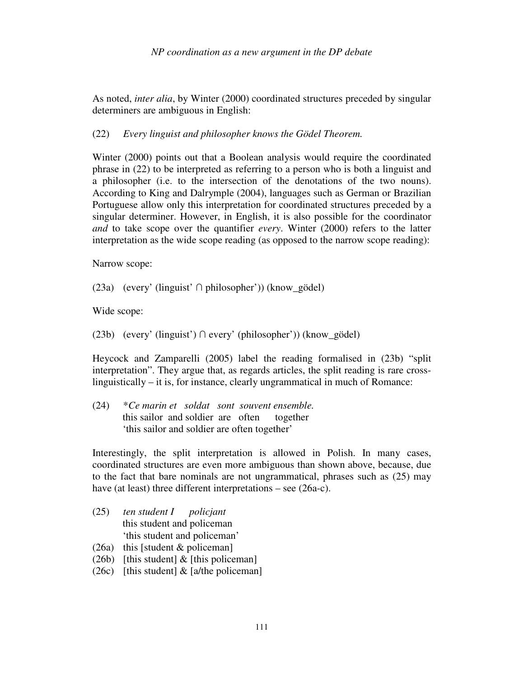As noted, *inter alia*, by Winter (2000) coordinated structures preceded by singular determiners are ambiguous in English:

### (22) *Every linguist and philosopher knows the Gödel Theorem.*

Winter (2000) points out that a Boolean analysis would require the coordinated phrase in (22) to be interpreted as referring to a person who is both a linguist and a philosopher (i.e. to the intersection of the denotations of the two nouns). According to King and Dalrymple (2004), languages such as German or Brazilian Portuguese allow only this interpretation for coordinated structures preceded by a singular determiner. However, in English, it is also possible for the coordinator *and* to take scope over the quantifier *every*. Winter (2000) refers to the latter interpretation as the wide scope reading (as opposed to the narrow scope reading):

Narrow scope:

(23a) (every' (linguist' ∩ philosopher')) (know\_gödel)

Wide scope:

(23b) (every' (linguist') ∩ every' (philosopher')) (know\_gödel)

Heycock and Zamparelli (2005) label the reading formalised in (23b) "split interpretation". They argue that, as regards articles, the split reading is rare crosslinguistically – it is, for instance, clearly ungrammatical in much of Romance:

(24) \**Ce marin et soldat sont souvent ensemble.* this sailor and soldier are often together 'this sailor and soldier are often together'

Interestingly, the split interpretation is allowed in Polish. In many cases, coordinated structures are even more ambiguous than shown above, because, due to the fact that bare nominals are not ungrammatical, phrases such as (25) may have (at least) three different interpretations – see (26a-c).

- (25) *ten student I policjant* this student and policeman 'this student and policeman'
- (26a) this [student & policeman]
- (26b) [this student]  $&$  [this policeman]
- (26c) [this student]  $&$  [a/the policeman]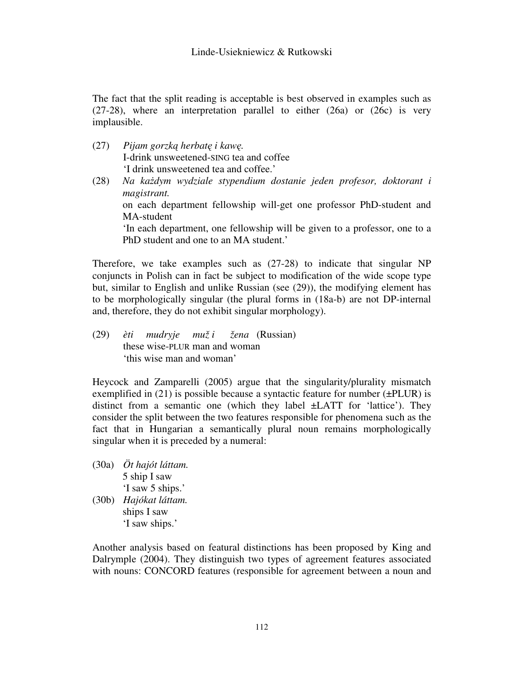The fact that the split reading is acceptable is best observed in examples such as (27-28), where an interpretation parallel to either (26a) or (26c) is very implausible.

- (27) *Pijam gorzk*ą *herbat*ę *i kaw*ę*.* I-drink unsweetened-SING tea and coffee 'I drink unsweetened tea and coffee.'
- (28) *Na ka*ż*dym wydziale stypendium dostanie jeden profesor, doktorant i magistrant.* on each department fellowship will-get one professor PhD-student and MA-student 'In each department, one fellowship will be given to a professor, one to a PhD student and one to an MA student.'

Therefore, we take examples such as (27-28) to indicate that singular NP conjuncts in Polish can in fact be subject to modification of the wide scope type but, similar to English and unlike Russian (see (29)), the modifying element has to be morphologically singular (the plural forms in (18a-b) are not DP-internal and, therefore, they do not exhibit singular morphology).

(29) *èti mudryje muž i žena* (Russian) these wise-PLUR man and woman 'this wise man and woman'

Heycock and Zamparelli (2005) argue that the singularity/plurality mismatch exemplified in  $(21)$  is possible because a syntactic feature for number ( $\pm$ PLUR) is distinct from a semantic one (which they label ±LATT for 'lattice'). They consider the split between the two features responsible for phenomena such as the fact that in Hungarian a semantically plural noun remains morphologically singular when it is preceded by a numeral:

- (30a) *Öt hajót láttam.* 5 ship I saw 'I saw 5 ships.'
- (30b) *Hajókat láttam.* ships I saw 'I saw ships.'

Another analysis based on featural distinctions has been proposed by King and Dalrymple (2004). They distinguish two types of agreement features associated with nouns: CONCORD features (responsible for agreement between a noun and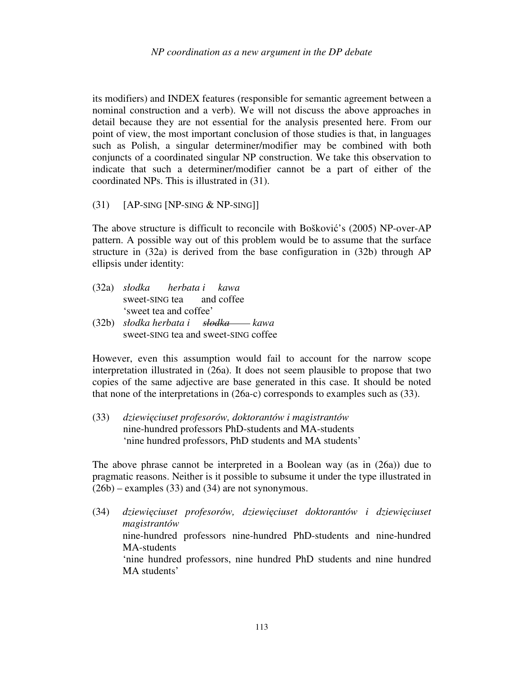its modifiers) and INDEX features (responsible for semantic agreement between a nominal construction and a verb). We will not discuss the above approaches in detail because they are not essential for the analysis presented here. From our point of view, the most important conclusion of those studies is that, in languages such as Polish, a singular determiner/modifier may be combined with both conjuncts of a coordinated singular NP construction. We take this observation to indicate that such a determiner/modifier cannot be a part of either of the coordinated NPs. This is illustrated in (31).

 $(31)$  [AP-SING [NP-SING & NP-SING]]

The above structure is difficult to reconcile with Bošković's (2005) NP-over-AP pattern. A possible way out of this problem would be to assume that the surface structure in (32a) is derived from the base configuration in (32b) through AP ellipsis under identity:

- (32a) *słodka herbata i kawa* sweet-SING tea and coffee 'sweet tea and coffee'
- (32b) *słodka herbata i słodka* kawa sweet-SING tea and sweet-SING coffee

However, even this assumption would fail to account for the narrow scope interpretation illustrated in (26a). It does not seem plausible to propose that two copies of the same adjective are base generated in this case. It should be noted that none of the interpretations in (26a-c) corresponds to examples such as (33).

(33) *dziewi*ę*ciuset profesorów, doktorantów i magistrantów* nine-hundred professors PhD-students and MA-students 'nine hundred professors, PhD students and MA students'

The above phrase cannot be interpreted in a Boolean way (as in (26a)) due to pragmatic reasons. Neither is it possible to subsume it under the type illustrated in (26b) – examples (33) and (34) are not synonymous.

(34) *dziewi*ę*ciuset profesorów, dziewi*ę*ciuset doktorantów i dziewi*ę*ciuset magistrantów*  nine-hundred professors nine-hundred PhD-students and nine-hundred MA-students 'nine hundred professors, nine hundred PhD students and nine hundred MA students'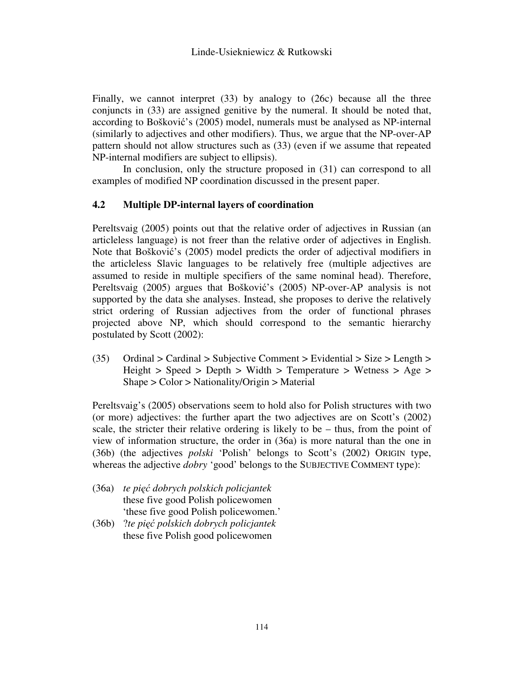Finally, we cannot interpret (33) by analogy to (26c) because all the three conjuncts in (33) are assigned genitive by the numeral. It should be noted that, according to Bošković's (2005) model, numerals must be analysed as NP-internal (similarly to adjectives and other modifiers). Thus, we argue that the NP-over-AP pattern should not allow structures such as (33) (even if we assume that repeated NP-internal modifiers are subject to ellipsis).

In conclusion, only the structure proposed in (31) can correspond to all examples of modified NP coordination discussed in the present paper.

#### **4.2 Multiple DP-internal layers of coordination**

Pereltsvaig (2005) points out that the relative order of adjectives in Russian (an articleless language) is not freer than the relative order of adjectives in English. Note that Bošković's (2005) model predicts the order of adjectival modifiers in the articleless Slavic languages to be relatively free (multiple adjectives are assumed to reside in multiple specifiers of the same nominal head). Therefore, Pereltsvaig (2005) argues that Bošković's (2005) NP-over-AP analysis is not supported by the data she analyses. Instead, she proposes to derive the relatively strict ordering of Russian adjectives from the order of functional phrases projected above NP, which should correspond to the semantic hierarchy postulated by Scott (2002):

(35) Ordinal  $>$  Cardinal  $>$  Subjective Comment  $>$  Evidential  $>$  Size  $>$  Length  $>$ Height > Speed > Depth > Width > Temperature > Wetness > Age > Shape > Color > Nationality/Origin > Material

Pereltsvaig's (2005) observations seem to hold also for Polish structures with two (or more) adjectives: the further apart the two adjectives are on Scott's (2002) scale, the stricter their relative ordering is likely to be – thus, from the point of view of information structure, the order in (36a) is more natural than the one in (36b) (the adjectives *polski* 'Polish' belongs to Scott's (2002) ORIGIN type, whereas the adjective *dobry* 'good' belongs to the SUBJECTIVE COMMENT type):

- (36a) *te pi*ęć *dobrych polskich policjantek* these five good Polish policewomen 'these five good Polish policewomen.'
- (36b) ?*te pi*ęć *polskich dobrych policjantek* these five Polish good policewomen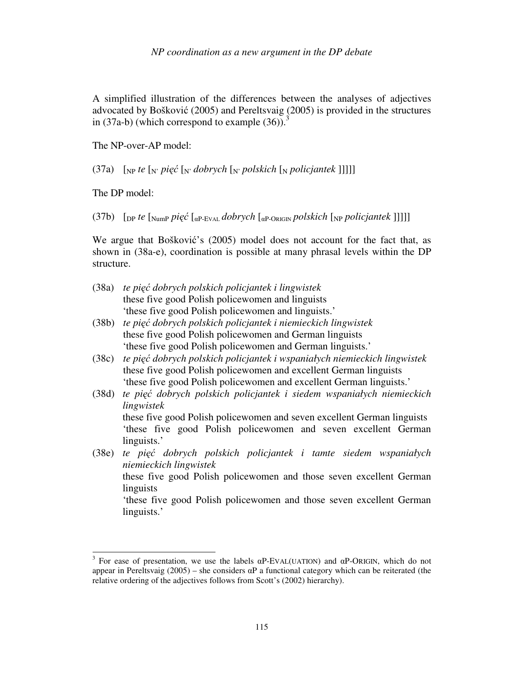A simplified illustration of the differences between the analyses of adjectives advocated by Bošković (2005) and Pereltsvaig (2005) is provided in the structures in (37a-b) (which correspond to example  $(36)$ ).<sup>3</sup>

The NP-over-AP model:

(37a)  $\lceil N_P t e \rceil_N$  *pięć*  $\lceil N \cdot d \cdot d \cdot N \rceil_N$  *polskich*  $\lceil N \cdot d \cdot d \cdot M \rceil$ 

The DP model:

l

(37b) [DP *te* [NumP *pi*ęć [αP-EVAL *dobrych* [αP-ORIGIN *polskich* [NP *policjantek* ]]]]]

We argue that Bošković's (2005) model does not account for the fact that, as shown in (38a-e), coordination is possible at many phrasal levels within the DP structure.

- (38a) *te pi*ęć *dobrych polskich policjantek i lingwistek* these five good Polish policewomen and linguists 'these five good Polish policewomen and linguists.'
- (38b) *te pi*ęć *dobrych polskich policjantek i niemieckich lingwistek* these five good Polish policewomen and German linguists 'these five good Polish policewomen and German linguists.'
- (38c) *te pi*ęć *dobrych polskich policjantek i wspaniałych niemieckich lingwistek* these five good Polish policewomen and excellent German linguists 'these five good Polish policewomen and excellent German linguists.'
- (38d) *te pi*ęć *dobrych polskich policjantek i siedem wspaniałych niemieckich lingwistek* these five good Polish policewomen and seven excellent German linguists 'these five good Polish policewomen and seven excellent German linguists.' (38e) *te pi*ęć *dobrych polskich policjantek i tamte siedem wspaniałych*
- *niemieckich lingwistek* these five good Polish policewomen and those seven excellent German linguists 'these five good Polish policewomen and those seven excellent German linguists.'

<sup>&</sup>lt;sup>3</sup> For ease of presentation, we use the labels  $\alpha$ P-EVAL(UATION) and  $\alpha$ P-ORIGIN, which do not appear in Pereltsvaig (2005) – she considers  $\alpha$ P a functional category which can be reiterated (the relative ordering of the adjectives follows from Scott's (2002) hierarchy).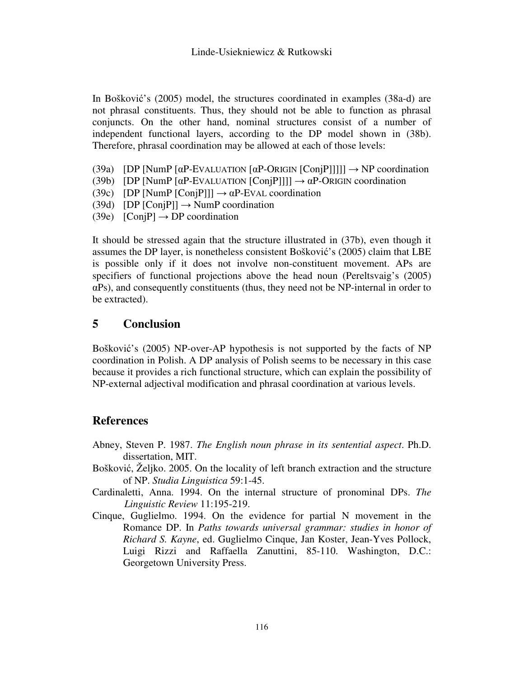In Bošković's (2005) model, the structures coordinated in examples (38a-d) are not phrasal constituents. Thus, they should not be able to function as phrasal conjuncts. On the other hand, nominal structures consist of a number of independent functional layers, according to the DP model shown in (38b). Therefore, phrasal coordination may be allowed at each of those levels:

- (39a) [DP [NumP  $\lceil \alpha P\text{-EVALUATION} \rceil \alpha P\text{-ORIGIN}$  [ConjP]]]]]  $\rightarrow$  NP coordination
- (39b) [DP [NumP  $\lceil \alpha P \text{EVALUATION} \rceil \text{Coni[P]]} \rceil \rightarrow \alpha P \text{ORIGIN coordination}$
- (39c) [DP [NumP [ConjP]]]  $\rightarrow \alpha$ P-EVAL coordination
- (39d) [DP  $[ConjPl] \rightarrow NumP$  coordination
- (39e)  $[ConjP] \rightarrow DP$  coordination

It should be stressed again that the structure illustrated in (37b), even though it assumes the DP layer, is nonetheless consistent Bošković's (2005) claim that LBE is possible only if it does not involve non-constituent movement. APs are specifiers of functional projections above the head noun (Pereltsvaig's (2005) αPs), and consequently constituents (thus, they need not be NP-internal in order to be extracted).

# **5 Conclusion**

Bošković's (2005) NP-over-AP hypothesis is not supported by the facts of NP coordination in Polish. A DP analysis of Polish seems to be necessary in this case because it provides a rich functional structure, which can explain the possibility of NP-external adjectival modification and phrasal coordination at various levels.

# **References**

- Abney, Steven P. 1987. *The English noun phrase in its sentential aspect*. Ph.D. dissertation, MIT.
- Bošković, Željko. 2005. On the locality of left branch extraction and the structure of NP. *Studia Linguistica* 59:1-45.
- Cardinaletti, Anna. 1994. On the internal structure of pronominal DPs. *The Linguistic Review* 11:195-219.
- Cinque, Guglielmo. 1994. On the evidence for partial N movement in the Romance DP. In *Paths towards universal grammar: studies in honor of Richard S. Kayne*, ed. Guglielmo Cinque, Jan Koster, Jean-Yves Pollock, Luigi Rizzi and Raffaella Zanuttini, 85-110. Washington, D.C.: Georgetown University Press.